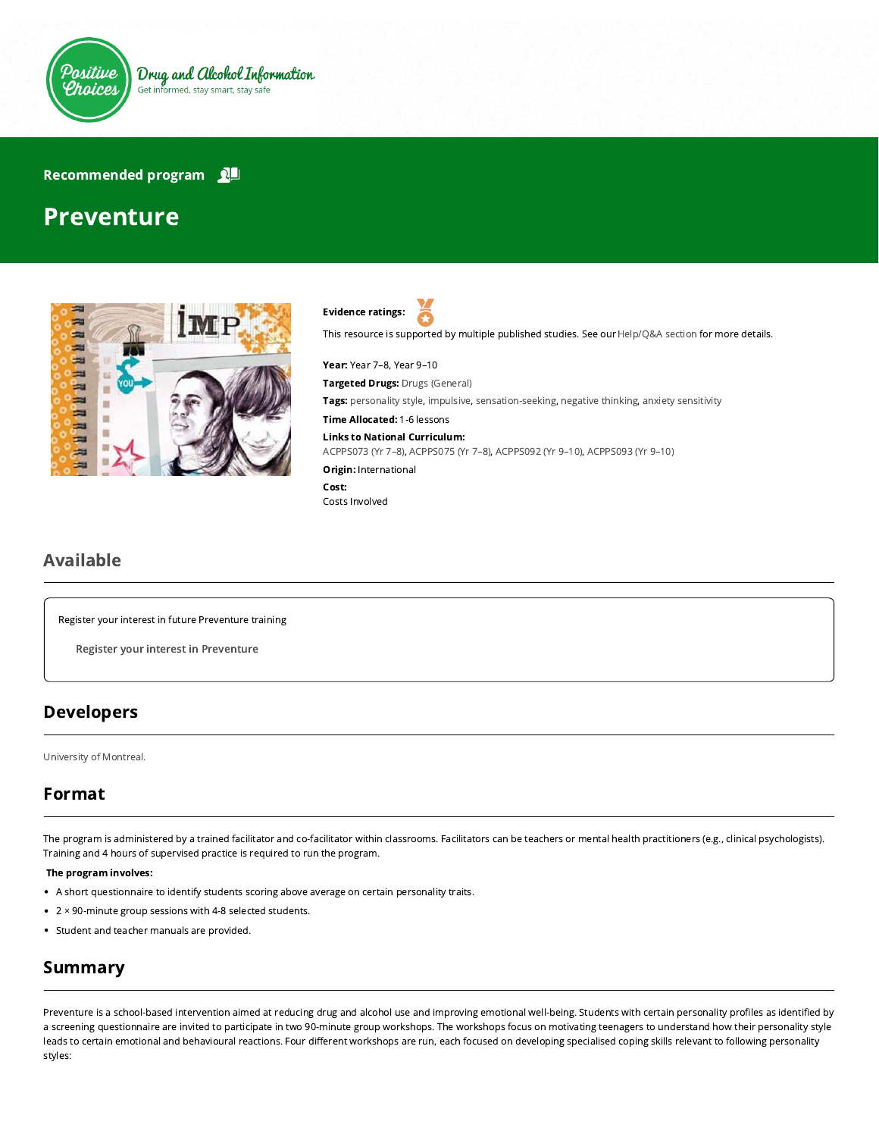

### Recommended program

# Preventure





This resource is supported by multiple published studies. See our [Help/Q&A section](https://positivechoices.org.au/help/questions-and-answers/) for more details.

Year: Year 7–8, Year 9–10 Targeted Drugs: Drugs (General) Tags: personality style, impulsive, sensation-seeking, negative thinking, anxiety sensitivity Time Allocated: 1-6 lessons Links to National Curriculum: [ACPPS073 \(Yr 7–8\),](http://www.australiancurriculum.edu.au/Curriculum/ContentDescription/ACPPS073) [ACPPS075 \(Yr 7–8\)](http://www.australiancurriculum.edu.au/Curriculum/ContentDescription/ACPPS075), [ACPPS092 \(Yr 9–10\),](http://www.australiancurriculum.edu.au/Curriculum/ContentDescription/ACPPS092) [ACPPS093 \(Yr 9–10\)](http://www.australiancurriculum.edu.au/Curriculum/ContentDescription/ACPPS093) **Origin: International** Cost: Costs Involved

## Available

Register your interest in future Preventure training

Register your interest in Preventure

## Developers

[University of Montreal.](https://www.conrodventurelab.com/)

# Format

The program is administered by a trained facilitator and co-facilitator within classrooms. Facilitators can be teachers or mental health practitioners (e.g., clinical psychologists). Training and 4 hours of supervised practice is required to run the program.

#### The program involves:

- A short questionnaire to identify students scoring above average on certain personality traits.
- 2 × 90-minute group sessions with 4-8 selected students.
- Student and teacher manuals are provided.

## Summary

Preventure is a school-based intervention aimed at reducing drug and alcohol use and improving emotional well-being. Students with certain personality profiles as identified by a screening questionnaire are invited to participate in two 90-minute group workshops. The workshops focus on motivating teenagers to understand how their personality style leads to certain emotional and behavioural reactions. Four different workshops are run, each focused on developing specialised coping skills relevant to following personality styles: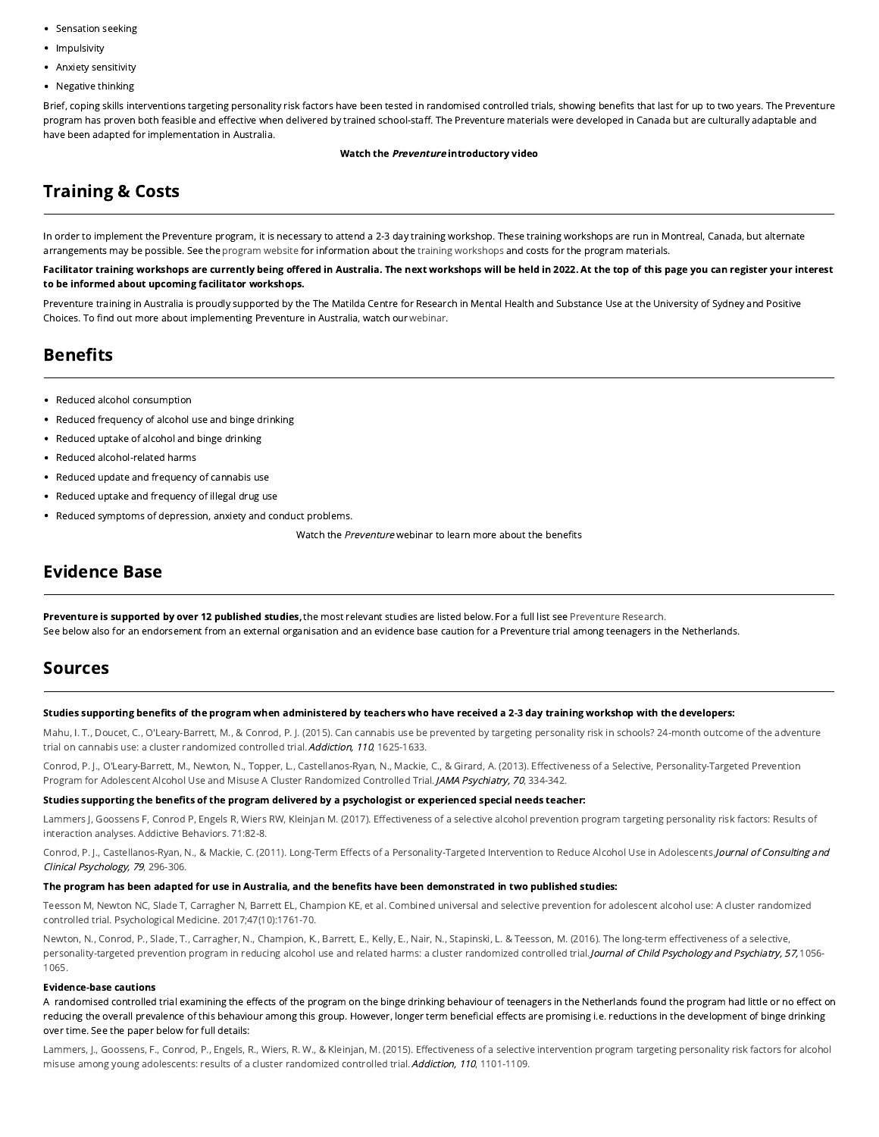- Sensation seeking
- Impulsivity
- Anxiety sensitivity
- Negative thinking

Brief, coping skills interventions targeting personality risk factors have been tested in randomised controlled trials, showing benefits that last for up to two years. The Preventure program has proven both feasible and effective when delivered by trained school-staff. The Preventure materials were developed in Canada but are culturally adaptable and have been adapted for implementation in Australia.

#### Watch the Preventure introductory video

# Training & Costs

In order to implement the Preventure program, it is necessary to attend a 2-3 day training workshop. These training workshops are run in Montreal, Canada, but alternate arrangements may be possible. See the [program website](https://www.conrodventurelab.com/projets/preventure) for information about the [training workshops](http://co-venture.ca/en/files/2012/06/PREVENTURE-PAMPHLET-09.06.2014.pdf) and costs for the program materials.

Facilitator training workshops are currently being offered in Australia. The next workshops will be held in 2022. At the top of this page you can register your interest to be informed about upcoming facilitator workshops.

Preventure training in Australia is proudly supported by the The Matilda Centre for Research in Mental Health and Substance Use at the University of Sydney and Positive Choices. To find out more about implementing Preventure in Australia, watch our [webinar.](https://positivechoices.org.au/teachers/webinar-preventure)

# **Benefits**

- Reduced alcohol consumption
- Reduced frequency of alcohol use and binge drinking
- Reduced uptake of alcohol and binge drinking
- Reduced alcohol-related harms  $\bullet$
- Reduced update and frequency of cannabis use
- Reduced uptake and frequency of illegal drug use
- Reduced symptoms of depression, anxiety and conduct problems.

Watch the Preventure webinar to learn more about the benefits

## Evidence Base

Preventure is supported by over 12 published studies, the most relevant studies are listed below. For a full list see [Preventure Research.](http://co-venture.ca/en/research/#) See below also for an endorsement from an external organisation and an evidence base caution for a Preventure trial among teenagers in the Netherlands.

## Sources

### Studies supporting benefits of the program when administered by teachers who have received a 2-3 day training workshop with the developers:

[Mahu, I. T., Doucet, C., O'Leary-Barrett, M., & Conrod, P. J. \(2015\). Can cannabis use be prevented by targeting personality risk in schools? 24-month outcome of the adventure](http://www.ncbi.nlm.nih.gov/pubmed/26011508) trial on cannabis use: a cluster randomized controlled trial. Addiction, 110, 1625-1633.

Conrod, P. J., O'Leary-Barrett, M., Newton, N., Topper, L., Castellanos-Ryan, N., Mackie, C., & Girard, A. (2013). Effectiveness of a Selective, Personality-Targeted Prevention Program for Adolescent Alcohol Use and Misuse A Cluster Randomized Controlled Trial. JAMA Psychiatry, 70, 334-342.

#### Studies supporting the benefits of the program delivered by a psychologist or experienced special needs teacher:

Lammers J, Goossens F, Conrod P, Engels R, Wiers RW, Kleinjan M. (2017). Effectiveness of a selective alcohol prevention program targeting personality risk factors: Results of interaction analyses. Addictive Behaviors. 71:82-8.

Conrod, P. J., Castellanos-Ryan, N., & Mackie, C. (2011). Long-Term Effects of a Personality-Targeted Intervention to Reduce Alcohol Use in Adolescents. Journal of Consulting and Clinical Psychology, 79, 296-306.

#### The program has been adapted for use in Australia, and the benefits have been demonstrated in two published studies:

[Teesson M, Newton NC, Slade T, Carragher N, Barrett EL, Champion KE, et al. Combined universal and selective prevention for adolescent alcohol use: A cluster randomized](https://www.cambridge.org/core/journals/psychological-medicine/article/combined-universal-and-selective-prevention-for-adolescent-alcohol-use-a-cluster-randomized-controlled-trial/AC2AEA5C4F95550547AC1207CB1C2CE4) controlled trial. Psychological Medicine. 2017;47(10):1761-70.

Newton, N., Conrod, P., Slade, T., Carragher, N., Champion, K., Barrett, E., Kelly, E., Nair, N., Stapinski, L. & Teesson, M. (2016). The long-term effectiveness of a selective, personality-targeted prevention program in reducing alcohol use and related harms: a cluster randomized controlled trial. Journal of Child Psychology and Psychiatry, 57, 1056-1065.

### Evidence-base cautions

A randomised controlled trial examining the effects of the program on the binge drinking behaviour of teenagers in the Netherlands found the program had little or no effect on reducing the overall prevalence of this behaviour among this group. However, longer term beneficial effects are promising i.e. reductions in the development of binge drinking over time. See the paper below for full details:

Lammers, J., Goossens, F., Conrod, P., Engels, R., Wiers, R. W., & Kleinjan, M. (2015). Effectiveness of a selective intervention program targeting personality risk factors for alcohol misuse among young adolescents: results of a cluster randomized controlled trial. Addiction, 110, 1101-1109.